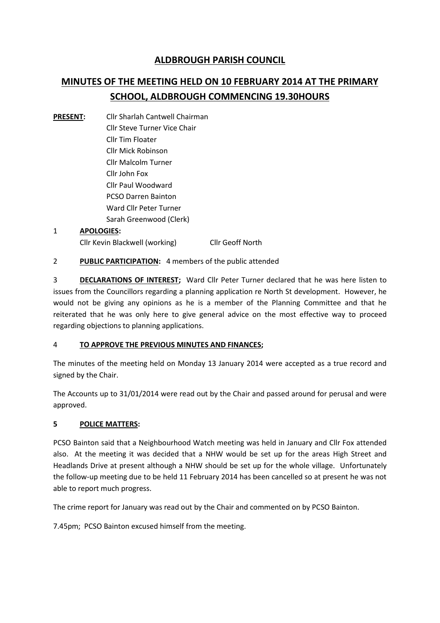## **ALDBROUGH PARISH COUNCIL**

# **MINUTES OF THE MEETING HELD ON 10 FEBRUARY 2014 AT THE PRIMARY SCHOOL, ALDBROUGH COMMENCING 19.30HOURS**

**PRESENT:** Cllr Sharlah Cantwell Chairman Cllr Steve Turner Vice Chair Cllr Tim Floater Cllr Mick Robinson Cllr Malcolm Turner Cllr John Fox Cllr Paul Woodward PCSO Darren Bainton Ward Cllr Peter Turner Sarah Greenwood (Clerk)

#### 1 **APOLOGIES:** Cllr Kevin Blackwell (working) Cllr Geoff North

2 **PUBLIC PARTICIPATION:** 4 members of the public attended

3 **DECLARATIONS OF INTEREST;** Ward Cllr Peter Turner declared that he was here listen to issues from the Councillors regarding a planning application re North St development. However, he would not be giving any opinions as he is a member of the Planning Committee and that he reiterated that he was only here to give general advice on the most effective way to proceed regarding objections to planning applications.

#### 4 **TO APPROVE THE PREVIOUS MINUTES AND FINANCES;**

The minutes of the meeting held on Monday 13 January 2014 were accepted as a true record and signed by the Chair.

The Accounts up to 31/01/2014 were read out by the Chair and passed around for perusal and were approved.

#### **5 POLICE MATTERS:**

PCSO Bainton said that a Neighbourhood Watch meeting was held in January and Cllr Fox attended also. At the meeting it was decided that a NHW would be set up for the areas High Street and Headlands Drive at present although a NHW should be set up for the whole village. Unfortunately the follow-up meeting due to be held 11 February 2014 has been cancelled so at present he was not able to report much progress.

The crime report for January was read out by the Chair and commented on by PCSO Bainton.

7.45pm; PCSO Bainton excused himself from the meeting.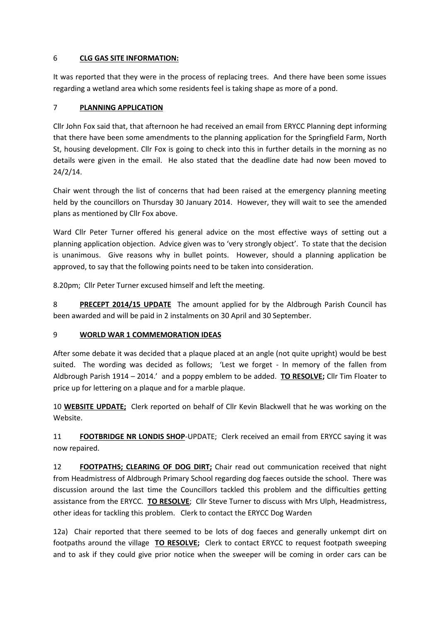#### 6 **CLG GAS SITE INFORMATION:**

It was reported that they were in the process of replacing trees. And there have been some issues regarding a wetland area which some residents feel is taking shape as more of a pond.

#### 7 **PLANNING APPLICATION**

Cllr John Fox said that, that afternoon he had received an email from ERYCC Planning dept informing that there have been some amendments to the planning application for the Springfield Farm, North St, housing development. Cllr Fox is going to check into this in further details in the morning as no details were given in the email. He also stated that the deadline date had now been moved to 24/2/14.

Chair went through the list of concerns that had been raised at the emergency planning meeting held by the councillors on Thursday 30 January 2014. However, they will wait to see the amended plans as mentioned by Cllr Fox above.

Ward Cllr Peter Turner offered his general advice on the most effective ways of setting out a planning application objection. Advice given was to 'very strongly object'. To state that the decision is unanimous. Give reasons why in bullet points. However, should a planning application be approved, to say that the following points need to be taken into consideration.

8.20pm; Cllr Peter Turner excused himself and left the meeting.

8 **PRECEPT 2014/15 UPDATE** The amount applied for by the Aldbrough Parish Council has been awarded and will be paid in 2 instalments on 30 April and 30 September.

#### 9 **WORLD WAR 1 COMMEMORATION IDEAS**

After some debate it was decided that a plaque placed at an angle (not quite upright) would be best suited. The wording was decided as follows; 'Lest we forget - In memory of the fallen from Aldbrough Parish 1914 – 2014.' and a poppy emblem to be added. **TO RESOLVE;** Cllr Tim Floater to price up for lettering on a plaque and for a marble plaque.

10 **WEBSITE UPDATE;** Clerk reported on behalf of Cllr Kevin Blackwell that he was working on the Website.

11 **FOOTBRIDGE NR LONDIS SHOP**-UPDATE; Clerk received an email from ERYCC saying it was now repaired.

12 **FOOTPATHS; CLEARING OF DOG DIRT;** Chair read out communication received that night from Headmistress of Aldbrough Primary School regarding dog faeces outside the school. There was discussion around the last time the Councillors tackled this problem and the difficulties getting assistance from the ERYCC. **TO RESOLVE**; Cllr Steve Turner to discuss with Mrs Ulph, Headmistress, other ideas for tackling this problem. Clerk to contact the ERYCC Dog Warden

12a) Chair reported that there seemed to be lots of dog faeces and generally unkempt dirt on footpaths around the village **TO RESOLVE;** Clerk to contact ERYCC to request footpath sweeping and to ask if they could give prior notice when the sweeper will be coming in order cars can be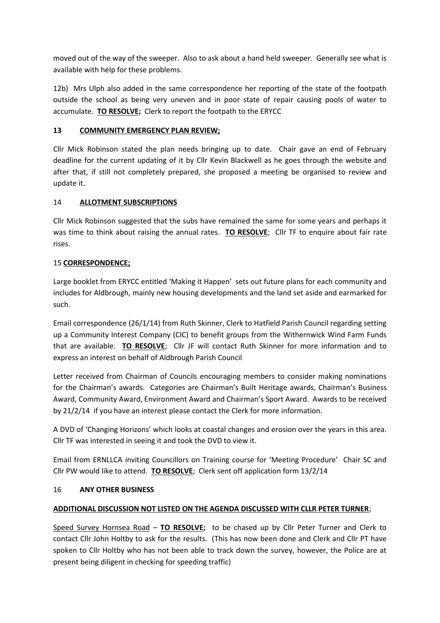moved out of the way of the sweeper. Also to ask about a hand held sweeper. Generally see what is available with help for these problems.

12b) Mrs Ulph also added in the same correspondence her reporting of the state of the footpath outside the school as being very uneven and in poor state of repair causing pools of water to accumulate. **TO RESOLVE;** Clerk to report the footpath to the ERYCC

#### **13 COMMUNITY EMERGENCY PLAN REVIEW;**

Cllr Mick Robinson stated the plan needs bringing up to date. Chair gave an end of February deadline for the current updating of it by Cllr Kevin Blackwell as he goes through the website and after that, if still not completely prepared, she proposed a meeting be organised to review and update it.

#### 14 **ALLOTMENT SUBSCRIPTIONS**

Cllr Mick Robinson suggested that the subs have remained the same for some years and perhaps it was time to think about raising the annual rates. **TO RESOLVE**; Cllr TF to enquire about fair rate rises.

#### 15 **CORRESPONDENCE;**

Large booklet from ERYCC entitled 'Making it Happen' sets out future plans for each community and includes for Aldbrough, mainly new housing developments and the land set aside and earmarked for such.

Email correspondence (26/1/14) from Ruth Skinner, Clerk to Hatfield Parish Council regarding setting up a Community Interest Company (CIC) to benefit groups from the Withernwick Wind Farm Funds that are available. **TO RESOLVE**; Cllr JF will contact Ruth Skinner for more information and to express an interest on behalf of Aldbrough Parish Council

Letter received from Chairman of Councils encouraging members to consider making nominations for the Chairman's awards. Categories are Chairman's Built Heritage awards, Chairman's Business Award, Community Award, Environment Award and Chairman's Sport Award. Awards to be received by 21/2/14 if you have an interest please contact the Clerk for more information.

A DVD of 'Changing Horizons' which looks at coastal changes and erosion over the years in this area. Cllr TF was interested in seeing it and took the DVD to view it.

Email from ERNLLCA inviting Councillors on Training course for 'Meeting Procedure' Chair SC and Cllr PW would like to attend. **TO RESOLVE**; Clerk sent off application form 13/2/14

#### 16 **ANY OTHER BUSINESS**

### **ADDITIONAL DISCUSSION NOT LISTED ON THE AGENDA DISCUSSED WITH CLLR PETER TURNER**;

Speed Survey Hornsea Road – **TO RESOLVE;** to be chased up by Cllr Peter Turner and Clerk to contact Cllr John Holtby to ask for the results. (This has now been done and Clerk and Cllr PT have spoken to Cllr Holtby who has not been able to track down the survey, however, the Police are at present being diligent in checking for speeding traffic)